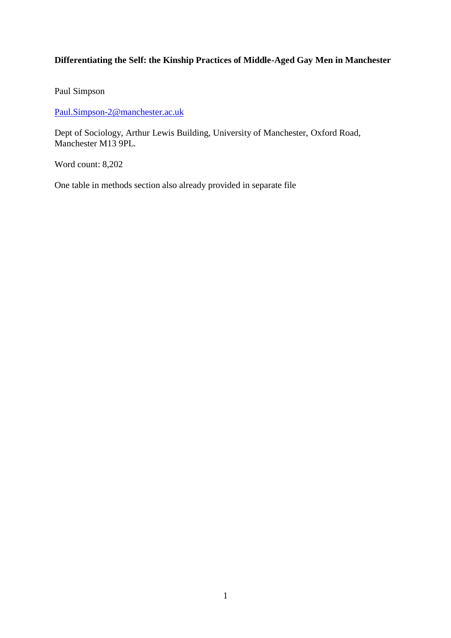# **Differentiating the Self: the Kinship Practices of Middle-Aged Gay Men in Manchester**

Paul Simpson

[Paul.Simpson-2@manchester.ac.uk](mailto:Paul.Simpson-2@manchester.ac.uk)

Dept of Sociology, Arthur Lewis Building, University of Manchester, Oxford Road, Manchester M13 9PL.

Word count: 8,202

One table in methods section also already provided in separate file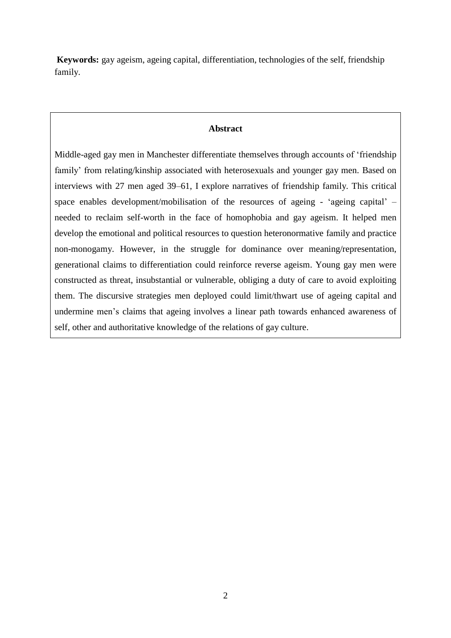**Keywords:** gay ageism, ageing capital, differentiation, technologies of the self, friendship family.

# **Abstract**

Middle-aged gay men in Manchester differentiate themselves through accounts of 'friendship family' from relating/kinship associated with heterosexuals and younger gay men. Based on interviews with 27 men aged 39–61, I explore narratives of friendship family. This critical space enables development/mobilisation of the resources of ageing - 'ageing capital' – needed to reclaim self-worth in the face of homophobia and gay ageism. It helped men develop the emotional and political resources to question heteronormative family and practice non-monogamy. However, in the struggle for dominance over meaning/representation, generational claims to differentiation could reinforce reverse ageism. Young gay men were constructed as threat, insubstantial or vulnerable, obliging a duty of care to avoid exploiting them. The discursive strategies men deployed could limit/thwart use of ageing capital and undermine men's claims that ageing involves a linear path towards enhanced awareness of self, other and authoritative knowledge of the relations of gay culture.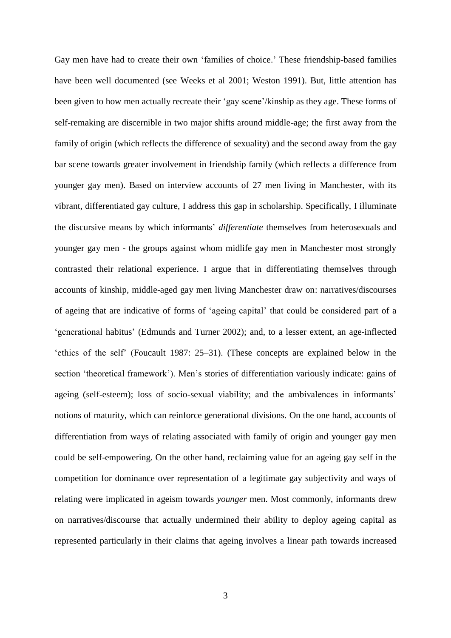Gay men have had to create their own 'families of choice.' These friendship-based families have been well documented (see Weeks et al 2001; Weston 1991). But, little attention has been given to how men actually recreate their 'gay scene'/kinship as they age. These forms of self-remaking are discernible in two major shifts around middle-age; the first away from the family of origin (which reflects the difference of sexuality) and the second away from the gay bar scene towards greater involvement in friendship family (which reflects a difference from younger gay men). Based on interview accounts of 27 men living in Manchester, with its vibrant, differentiated gay culture, I address this gap in scholarship. Specifically, I illuminate the discursive means by which informants' *differentiate* themselves from heterosexuals and younger gay men - the groups against whom midlife gay men in Manchester most strongly contrasted their relational experience. I argue that in differentiating themselves through accounts of kinship, middle-aged gay men living Manchester draw on: narratives/discourses of ageing that are indicative of forms of 'ageing capital' that could be considered part of a 'generational habitus' (Edmunds and Turner 2002); and, to a lesser extent, an age-inflected 'ethics of the self' (Foucault 1987: 25–31). (These concepts are explained below in the section 'theoretical framework'). Men's stories of differentiation variously indicate: gains of ageing (self-esteem); loss of socio-sexual viability; and the ambivalences in informants' notions of maturity, which can reinforce generational divisions. On the one hand, accounts of differentiation from ways of relating associated with family of origin and younger gay men could be self-empowering. On the other hand, reclaiming value for an ageing gay self in the competition for dominance over representation of a legitimate gay subjectivity and ways of relating were implicated in ageism towards *younger* men. Most commonly, informants drew on narratives/discourse that actually undermined their ability to deploy ageing capital as represented particularly in their claims that ageing involves a linear path towards increased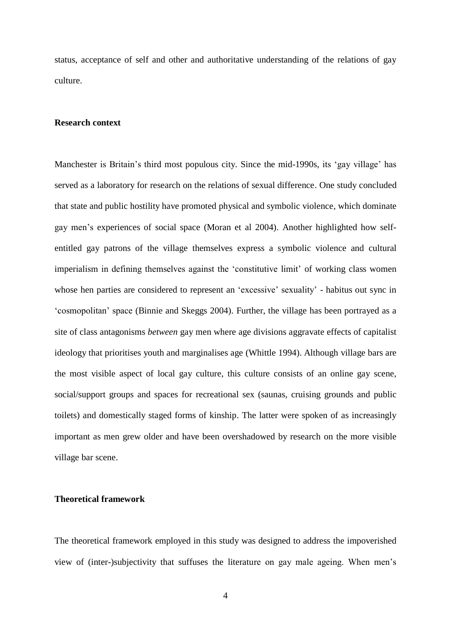status, acceptance of self and other and authoritative understanding of the relations of gay culture.

## **Research context**

Manchester is Britain's third most populous city. Since the mid-1990s, its 'gay village' has served as a laboratory for research on the relations of sexual difference. One study concluded that state and public hostility have promoted physical and symbolic violence, which dominate gay men's experiences of social space (Moran et al 2004). Another highlighted how selfentitled gay patrons of the village themselves express a symbolic violence and cultural imperialism in defining themselves against the 'constitutive limit' of working class women whose hen parties are considered to represent an 'excessive' sexuality' - habitus out sync in 'cosmopolitan' space (Binnie and Skeggs 2004). Further, the village has been portrayed as a site of class antagonisms *between* gay men where age divisions aggravate effects of capitalist ideology that prioritises youth and marginalises age (Whittle 1994). Although village bars are the most visible aspect of local gay culture, this culture consists of an online gay scene, social/support groups and spaces for recreational sex (saunas, cruising grounds and public toilets) and domestically staged forms of kinship. The latter were spoken of as increasingly important as men grew older and have been overshadowed by research on the more visible village bar scene.

## **Theoretical framework**

The theoretical framework employed in this study was designed to address the impoverished view of (inter-)subjectivity that suffuses the literature on gay male ageing. When men's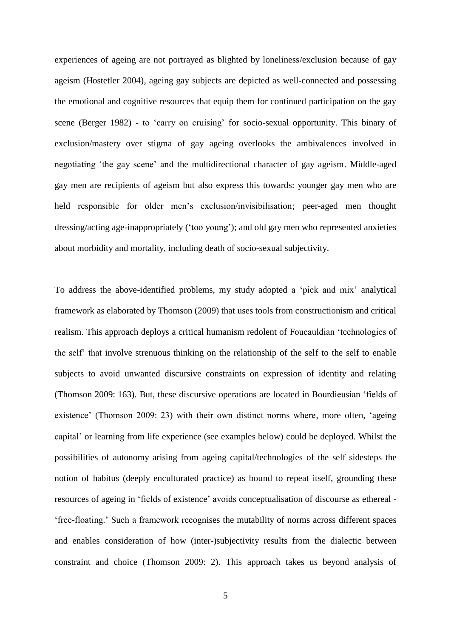experiences of ageing are not portrayed as blighted by loneliness/exclusion because of gay ageism (Hostetler 2004), ageing gay subjects are depicted as well-connected and possessing the emotional and cognitive resources that equip them for continued participation on the gay scene (Berger 1982) - to 'carry on cruising' for socio-sexual opportunity. This binary of exclusion/mastery over stigma of gay ageing overlooks the ambivalences involved in negotiating 'the gay scene' and the multidirectional character of gay ageism. Middle-aged gay men are recipients of ageism but also express this towards: younger gay men who are held responsible for older men's exclusion/invisibilisation; peer-aged men thought dressing/acting age-inappropriately ('too young'); and old gay men who represented anxieties about morbidity and mortality, including death of socio-sexual subjectivity.

To address the above-identified problems, my study adopted a 'pick and mix' analytical framework as elaborated by Thomson (2009) that uses tools from constructionism and critical realism. This approach deploys a critical humanism redolent of Foucauldian 'technologies of the self' that involve strenuous thinking on the relationship of the self to the self to enable subjects to avoid unwanted discursive constraints on expression of identity and relating (Thomson 2009: 163). But, these discursive operations are located in Bourdieusian 'fields of existence' (Thomson 2009: 23) with their own distinct norms where, more often, 'ageing capital' or learning from life experience (see examples below) could be deployed. Whilst the possibilities of autonomy arising from ageing capital/technologies of the self sidesteps the notion of habitus (deeply enculturated practice) as bound to repeat itself, grounding these resources of ageing in 'fields of existence' avoids conceptualisation of discourse as ethereal - 'free-floating.' Such a framework recognises the mutability of norms across different spaces and enables consideration of how (inter-)subjectivity results from the dialectic between constraint and choice (Thomson 2009: 2). This approach takes us beyond analysis of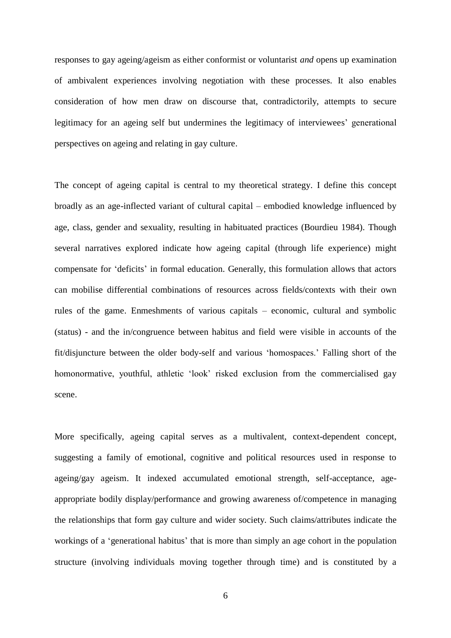responses to gay ageing/ageism as either conformist or voluntarist *and* opens up examination of ambivalent experiences involving negotiation with these processes. It also enables consideration of how men draw on discourse that, contradictorily, attempts to secure legitimacy for an ageing self but undermines the legitimacy of interviewees' generational perspectives on ageing and relating in gay culture.

The concept of ageing capital is central to my theoretical strategy. I define this concept broadly as an age-inflected variant of cultural capital – embodied knowledge influenced by age, class, gender and sexuality, resulting in habituated practices (Bourdieu 1984). Though several narratives explored indicate how ageing capital (through life experience) might compensate for 'deficits' in formal education. Generally, this formulation allows that actors can mobilise differential combinations of resources across fields/contexts with their own rules of the game. Enmeshments of various capitals – economic, cultural and symbolic (status) - and the in/congruence between habitus and field were visible in accounts of the fit/disjuncture between the older body-self and various 'homospaces.' Falling short of the homonormative, youthful, athletic 'look' risked exclusion from the commercialised gay scene.

More specifically, ageing capital serves as a multivalent, context-dependent concept, suggesting a family of emotional, cognitive and political resources used in response to ageing/gay ageism. It indexed accumulated emotional strength, self-acceptance, ageappropriate bodily display/performance and growing awareness of/competence in managing the relationships that form gay culture and wider society. Such claims/attributes indicate the workings of a 'generational habitus' that is more than simply an age cohort in the population structure (involving individuals moving together through time) and is constituted by a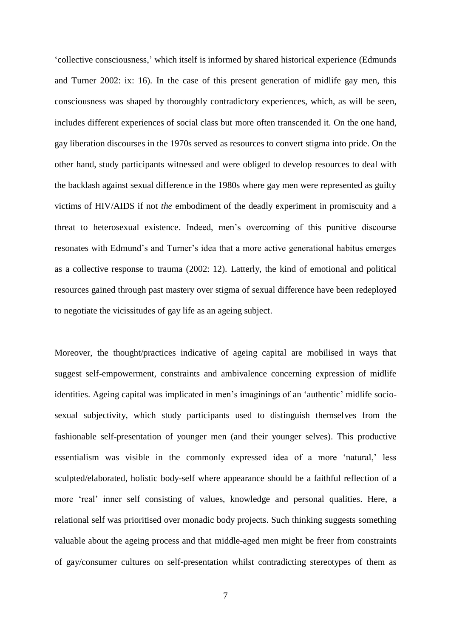'collective consciousness,' which itself is informed by shared historical experience (Edmunds and Turner 2002: ix: 16). In the case of this present generation of midlife gay men, this consciousness was shaped by thoroughly contradictory experiences, which, as will be seen, includes different experiences of social class but more often transcended it. On the one hand, gay liberation discourses in the 1970s served as resources to convert stigma into pride. On the other hand, study participants witnessed and were obliged to develop resources to deal with the backlash against sexual difference in the 1980s where gay men were represented as guilty victims of HIV/AIDS if not *the* embodiment of the deadly experiment in promiscuity and a threat to heterosexual existence. Indeed, men's overcoming of this punitive discourse resonates with Edmund's and Turner's idea that a more active generational habitus emerges as a collective response to trauma (2002: 12). Latterly, the kind of emotional and political resources gained through past mastery over stigma of sexual difference have been redeployed to negotiate the vicissitudes of gay life as an ageing subject.

Moreover, the thought/practices indicative of ageing capital are mobilised in ways that suggest self-empowerment, constraints and ambivalence concerning expression of midlife identities. Ageing capital was implicated in men's imaginings of an 'authentic' midlife sociosexual subjectivity, which study participants used to distinguish themselves from the fashionable self-presentation of younger men (and their younger selves). This productive essentialism was visible in the commonly expressed idea of a more 'natural,' less sculpted/elaborated, holistic body-self where appearance should be a faithful reflection of a more 'real' inner self consisting of values, knowledge and personal qualities. Here, a relational self was prioritised over monadic body projects. Such thinking suggests something valuable about the ageing process and that middle-aged men might be freer from constraints of gay/consumer cultures on self-presentation whilst contradicting stereotypes of them as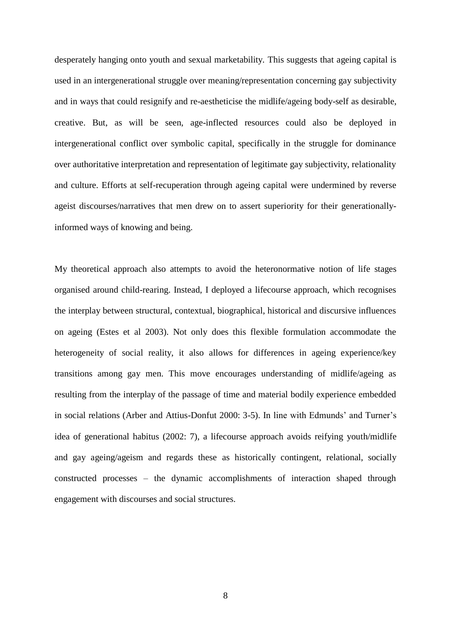desperately hanging onto youth and sexual marketability. This suggests that ageing capital is used in an intergenerational struggle over meaning/representation concerning gay subjectivity and in ways that could resignify and re-aestheticise the midlife/ageing body-self as desirable, creative. But, as will be seen, age-inflected resources could also be deployed in intergenerational conflict over symbolic capital, specifically in the struggle for dominance over authoritative interpretation and representation of legitimate gay subjectivity, relationality and culture. Efforts at self-recuperation through ageing capital were undermined by reverse ageist discourses/narratives that men drew on to assert superiority for their generationallyinformed ways of knowing and being.

My theoretical approach also attempts to avoid the heteronormative notion of life stages organised around child-rearing. Instead, I deployed a lifecourse approach, which recognises the interplay between structural, contextual, biographical, historical and discursive influences on ageing (Estes et al 2003). Not only does this flexible formulation accommodate the heterogeneity of social reality, it also allows for differences in ageing experience/key transitions among gay men. This move encourages understanding of midlife/ageing as resulting from the interplay of the passage of time and material bodily experience embedded in social relations (Arber and Attius-Donfut 2000: 3-5). In line with Edmunds' and Turner's idea of generational habitus (2002: 7), a lifecourse approach avoids reifying youth/midlife and gay ageing/ageism and regards these as historically contingent, relational, socially constructed processes – the dynamic accomplishments of interaction shaped through engagement with discourses and social structures.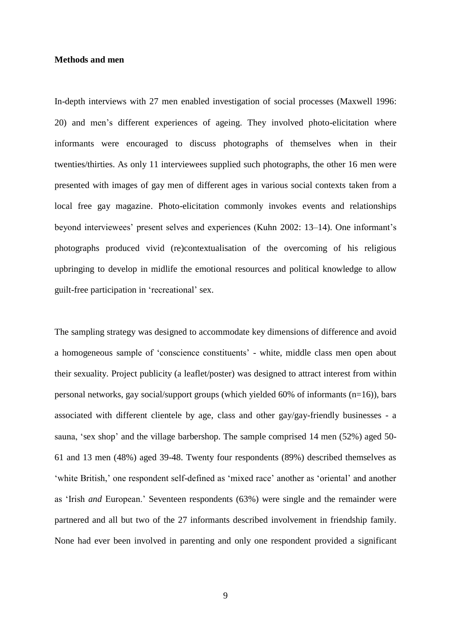#### **Methods and men**

In-depth interviews with 27 men enabled investigation of social processes (Maxwell 1996: 20) and men's different experiences of ageing. They involved photo-elicitation where informants were encouraged to discuss photographs of themselves when in their twenties/thirties. As only 11 interviewees supplied such photographs, the other 16 men were presented with images of gay men of different ages in various social contexts taken from a local free gay magazine. Photo-elicitation commonly invokes events and relationships beyond interviewees' present selves and experiences (Kuhn 2002: 13–14). One informant's photographs produced vivid (re)contextualisation of the overcoming of his religious upbringing to develop in midlife the emotional resources and political knowledge to allow guilt-free participation in 'recreational' sex.

The sampling strategy was designed to accommodate key dimensions of difference and avoid a homogeneous sample of 'conscience constituents' - white, middle class men open about their sexuality. Project publicity (a leaflet/poster) was designed to attract interest from within personal networks, gay social/support groups (which yielded 60% of informants (n=16)), bars associated with different clientele by age, class and other gay/gay-friendly businesses - a sauna, 'sex shop' and the village barbershop. The sample comprised 14 men (52%) aged 50- 61 and 13 men (48%) aged 39-48. Twenty four respondents (89%) described themselves as 'white British,' one respondent self-defined as 'mixed race' another as 'oriental' and another as 'Irish *and* European.' Seventeen respondents (63%) were single and the remainder were partnered and all but two of the 27 informants described involvement in friendship family. None had ever been involved in parenting and only one respondent provided a significant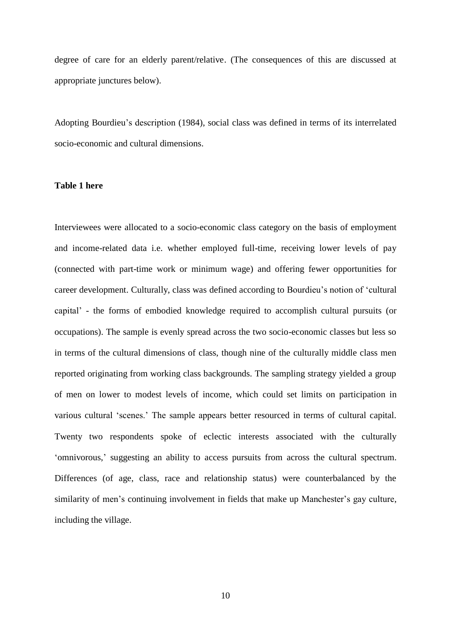degree of care for an elderly parent/relative. (The consequences of this are discussed at appropriate junctures below).

Adopting Bourdieu's description (1984), social class was defined in terms of its interrelated socio-economic and cultural dimensions.

### **Table 1 here**

Interviewees were allocated to a socio-economic class category on the basis of employment and income-related data i.e. whether employed full-time, receiving lower levels of pay (connected with part-time work or minimum wage) and offering fewer opportunities for career development. Culturally, class was defined according to Bourdieu's notion of 'cultural capital' - the forms of embodied knowledge required to accomplish cultural pursuits (or occupations). The sample is evenly spread across the two socio-economic classes but less so in terms of the cultural dimensions of class, though nine of the culturally middle class men reported originating from working class backgrounds. The sampling strategy yielded a group of men on lower to modest levels of income, which could set limits on participation in various cultural 'scenes.' The sample appears better resourced in terms of cultural capital. Twenty two respondents spoke of eclectic interests associated with the culturally 'omnivorous,' suggesting an ability to access pursuits from across the cultural spectrum. Differences (of age, class, race and relationship status) were counterbalanced by the similarity of men's continuing involvement in fields that make up Manchester's gay culture, including the village.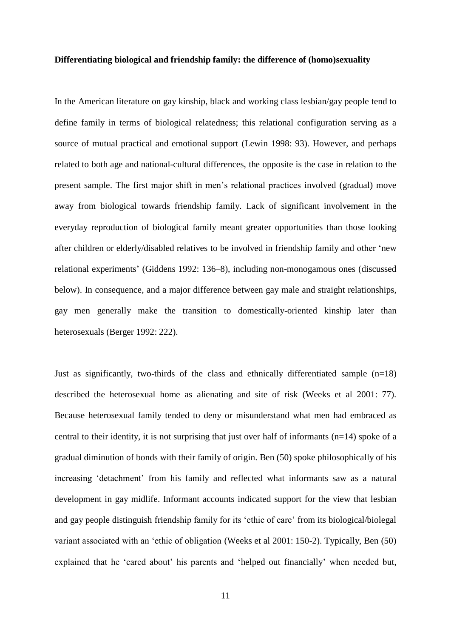#### **Differentiating biological and friendship family: the difference of (homo)sexuality**

In the American literature on gay kinship, black and working class lesbian/gay people tend to define family in terms of biological relatedness; this relational configuration serving as a source of mutual practical and emotional support (Lewin 1998: 93). However, and perhaps related to both age and national-cultural differences, the opposite is the case in relation to the present sample. The first major shift in men's relational practices involved (gradual) move away from biological towards friendship family. Lack of significant involvement in the everyday reproduction of biological family meant greater opportunities than those looking after children or elderly/disabled relatives to be involved in friendship family and other 'new relational experiments' (Giddens 1992: 136–8), including non-monogamous ones (discussed below). In consequence, and a major difference between gay male and straight relationships, gay men generally make the transition to domestically-oriented kinship later than heterosexuals (Berger 1992: 222).

Just as significantly, two-thirds of the class and ethnically differentiated sample  $(n=18)$ described the heterosexual home as alienating and site of risk (Weeks et al 2001: 77). Because heterosexual family tended to deny or misunderstand what men had embraced as central to their identity, it is not surprising that just over half of informants (n=14) spoke of a gradual diminution of bonds with their family of origin. Ben (50) spoke philosophically of his increasing 'detachment' from his family and reflected what informants saw as a natural development in gay midlife. Informant accounts indicated support for the view that lesbian and gay people distinguish friendship family for its 'ethic of care' from its biological/biolegal variant associated with an 'ethic of obligation (Weeks et al 2001: 150-2). Typically, Ben (50) explained that he 'cared about' his parents and 'helped out financially' when needed but,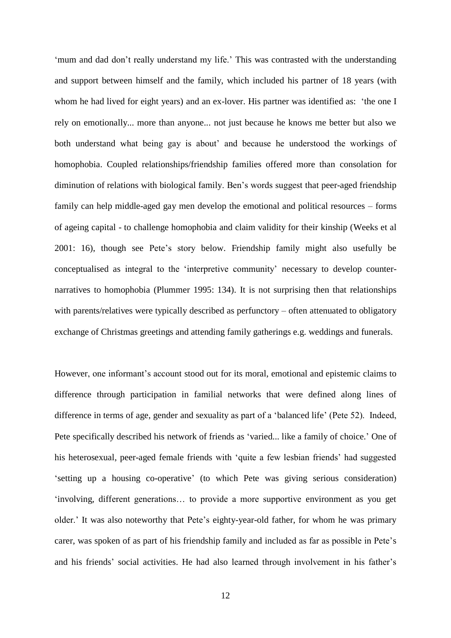'mum and dad don't really understand my life.' This was contrasted with the understanding and support between himself and the family, which included his partner of 18 years (with whom he had lived for eight years) and an ex-lover. His partner was identified as: 'the one I rely on emotionally... more than anyone... not just because he knows me better but also we both understand what being gay is about' and because he understood the workings of homophobia. Coupled relationships/friendship families offered more than consolation for diminution of relations with biological family. Ben's words suggest that peer-aged friendship family can help middle-aged gay men develop the emotional and political resources – forms of ageing capital - to challenge homophobia and claim validity for their kinship (Weeks et al 2001: 16), though see Pete's story below. Friendship family might also usefully be conceptualised as integral to the 'interpretive community' necessary to develop counternarratives to homophobia (Plummer 1995: 134). It is not surprising then that relationships with parents/relatives were typically described as perfunctory – often attenuated to obligatory exchange of Christmas greetings and attending family gatherings e.g. weddings and funerals.

However, one informant's account stood out for its moral, emotional and epistemic claims to difference through participation in familial networks that were defined along lines of difference in terms of age, gender and sexuality as part of a 'balanced life' (Pete 52). Indeed, Pete specifically described his network of friends as 'varied... like a family of choice.' One of his heterosexual, peer-aged female friends with 'quite a few lesbian friends' had suggested 'setting up a housing co-operative' (to which Pete was giving serious consideration) 'involving, different generations… to provide a more supportive environment as you get older.' It was also noteworthy that Pete's eighty-year-old father, for whom he was primary carer, was spoken of as part of his friendship family and included as far as possible in Pete's and his friends' social activities. He had also learned through involvement in his father's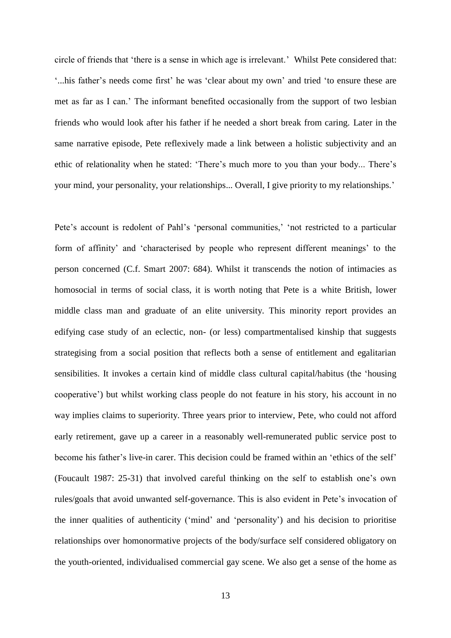circle of friends that 'there is a sense in which age is irrelevant.' Whilst Pete considered that: '...his father's needs come first' he was 'clear about my own' and tried 'to ensure these are met as far as I can.' The informant benefited occasionally from the support of two lesbian friends who would look after his father if he needed a short break from caring. Later in the same narrative episode, Pete reflexively made a link between a holistic subjectivity and an ethic of relationality when he stated: 'There's much more to you than your body... There's your mind, your personality, your relationships... Overall, I give priority to my relationships.'

Pete's account is redolent of Pahl's 'personal communities,' 'not restricted to a particular form of affinity' and 'characterised by people who represent different meanings' to the person concerned (C.f. Smart 2007: 684). Whilst it transcends the notion of intimacies as homosocial in terms of social class, it is worth noting that Pete is a white British, lower middle class man and graduate of an elite university. This minority report provides an edifying case study of an eclectic, non- (or less) compartmentalised kinship that suggests strategising from a social position that reflects both a sense of entitlement and egalitarian sensibilities. It invokes a certain kind of middle class cultural capital/habitus (the 'housing cooperative') but whilst working class people do not feature in his story, his account in no way implies claims to superiority. Three years prior to interview, Pete, who could not afford early retirement, gave up a career in a reasonably well-remunerated public service post to become his father's live-in carer. This decision could be framed within an 'ethics of the self' (Foucault 1987: 25-31) that involved careful thinking on the self to establish one's own rules/goals that avoid unwanted self-governance. This is also evident in Pete's invocation of the inner qualities of authenticity ('mind' and 'personality') and his decision to prioritise relationships over homonormative projects of the body/surface self considered obligatory on the youth-oriented, individualised commercial gay scene. We also get a sense of the home as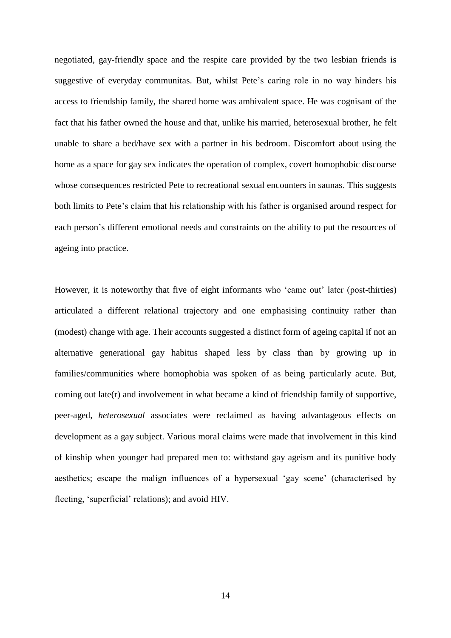negotiated, gay-friendly space and the respite care provided by the two lesbian friends is suggestive of everyday communitas. But, whilst Pete's caring role in no way hinders his access to friendship family, the shared home was ambivalent space. He was cognisant of the fact that his father owned the house and that, unlike his married, heterosexual brother, he felt unable to share a bed/have sex with a partner in his bedroom. Discomfort about using the home as a space for gay sex indicates the operation of complex, covert homophobic discourse whose consequences restricted Pete to recreational sexual encounters in saunas. This suggests both limits to Pete's claim that his relationship with his father is organised around respect for each person's different emotional needs and constraints on the ability to put the resources of ageing into practice.

However, it is noteworthy that five of eight informants who 'came out' later (post-thirties) articulated a different relational trajectory and one emphasising continuity rather than (modest) change with age. Their accounts suggested a distinct form of ageing capital if not an alternative generational gay habitus shaped less by class than by growing up in families/communities where homophobia was spoken of as being particularly acute. But, coming out late(r) and involvement in what became a kind of friendship family of supportive, peer-aged, *heterosexual* associates were reclaimed as having advantageous effects on development as a gay subject. Various moral claims were made that involvement in this kind of kinship when younger had prepared men to: withstand gay ageism and its punitive body aesthetics; escape the malign influences of a hypersexual 'gay scene' (characterised by fleeting, 'superficial' relations); and avoid HIV.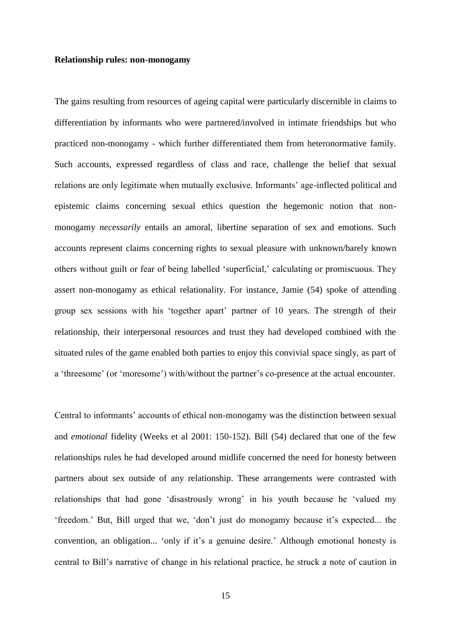#### **Relationship rules: non-monogamy**

The gains resulting from resources of ageing capital were particularly discernible in claims to differentiation by informants who were partnered/involved in intimate friendships but who practiced non-monogamy - which further differentiated them from heteronormative family. Such accounts, expressed regardless of class and race, challenge the belief that sexual relations are only legitimate when mutually exclusive. Informants' age-inflected political and epistemic claims concerning sexual ethics question the hegemonic notion that nonmonogamy *necessarily* entails an amoral, libertine separation of sex and emotions. Such accounts represent claims concerning rights to sexual pleasure with unknown/barely known others without guilt or fear of being labelled 'superficial,' calculating or promiscuous. They assert non-monogamy as ethical relationality. For instance, Jamie (54) spoke of attending group sex sessions with his 'together apart' partner of 10 years. The strength of their relationship, their interpersonal resources and trust they had developed combined with the situated rules of the game enabled both parties to enjoy this convivial space singly, as part of a 'threesome' (or 'moresome') with/without the partner's co-presence at the actual encounter.

Central to informants' accounts of ethical non-monogamy was the distinction between sexual and *emotional* fidelity (Weeks et al 2001: 150-152). Bill (54) declared that one of the few relationships rules he had developed around midlife concerned the need for honesty between partners about sex outside of any relationship. These arrangements were contrasted with relationships that had gone 'disastrously wrong' in his youth because he 'valued my 'freedom.' But, Bill urged that we, 'don't just do monogamy because it's expected... the convention, an obligation... 'only if it's a genuine desire.' Although emotional honesty is central to Bill's narrative of change in his relational practice, he struck a note of caution in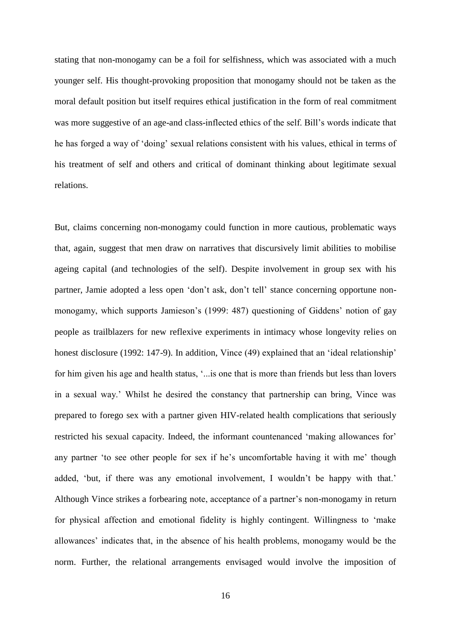stating that non-monogamy can be a foil for selfishness, which was associated with a much younger self. His thought-provoking proposition that monogamy should not be taken as the moral default position but itself requires ethical justification in the form of real commitment was more suggestive of an age-and class-inflected ethics of the self. Bill's words indicate that he has forged a way of 'doing' sexual relations consistent with his values, ethical in terms of his treatment of self and others and critical of dominant thinking about legitimate sexual relations.

But, claims concerning non-monogamy could function in more cautious, problematic ways that, again, suggest that men draw on narratives that discursively limit abilities to mobilise ageing capital (and technologies of the self). Despite involvement in group sex with his partner, Jamie adopted a less open 'don't ask, don't tell' stance concerning opportune nonmonogamy, which supports Jamieson's (1999: 487) questioning of Giddens' notion of gay people as trailblazers for new reflexive experiments in intimacy whose longevity relies on honest disclosure (1992: 147-9). In addition, Vince (49) explained that an 'ideal relationship' for him given his age and health status, '...is one that is more than friends but less than lovers in a sexual way.' Whilst he desired the constancy that partnership can bring, Vince was prepared to forego sex with a partner given HIV-related health complications that seriously restricted his sexual capacity. Indeed, the informant countenanced 'making allowances for' any partner 'to see other people for sex if he's uncomfortable having it with me' though added, 'but, if there was any emotional involvement, I wouldn't be happy with that.' Although Vince strikes a forbearing note, acceptance of a partner's non-monogamy in return for physical affection and emotional fidelity is highly contingent. Willingness to 'make allowances' indicates that, in the absence of his health problems, monogamy would be the norm. Further, the relational arrangements envisaged would involve the imposition of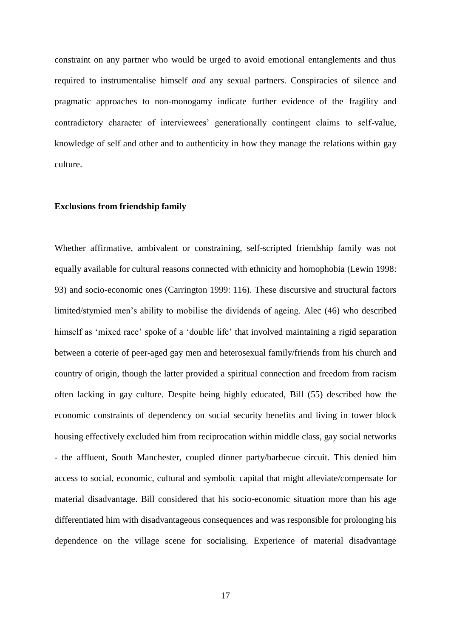constraint on any partner who would be urged to avoid emotional entanglements and thus required to instrumentalise himself *and* any sexual partners. Conspiracies of silence and pragmatic approaches to non-monogamy indicate further evidence of the fragility and contradictory character of interviewees' generationally contingent claims to self-value, knowledge of self and other and to authenticity in how they manage the relations within gay culture.

#### **Exclusions from friendship family**

Whether affirmative, ambivalent or constraining, self-scripted friendship family was not equally available for cultural reasons connected with ethnicity and homophobia (Lewin 1998: 93) and socio-economic ones (Carrington 1999: 116). These discursive and structural factors limited/stymied men's ability to mobilise the dividends of ageing. Alec (46) who described himself as 'mixed race' spoke of a 'double life' that involved maintaining a rigid separation between a coterie of peer-aged gay men and heterosexual family/friends from his church and country of origin, though the latter provided a spiritual connection and freedom from racism often lacking in gay culture. Despite being highly educated, Bill (55) described how the economic constraints of dependency on social security benefits and living in tower block housing effectively excluded him from reciprocation within middle class, gay social networks - the affluent, South Manchester, coupled dinner party/barbecue circuit. This denied him access to social, economic, cultural and symbolic capital that might alleviate/compensate for material disadvantage. Bill considered that his socio-economic situation more than his age differentiated him with disadvantageous consequences and was responsible for prolonging his dependence on the village scene for socialising. Experience of material disadvantage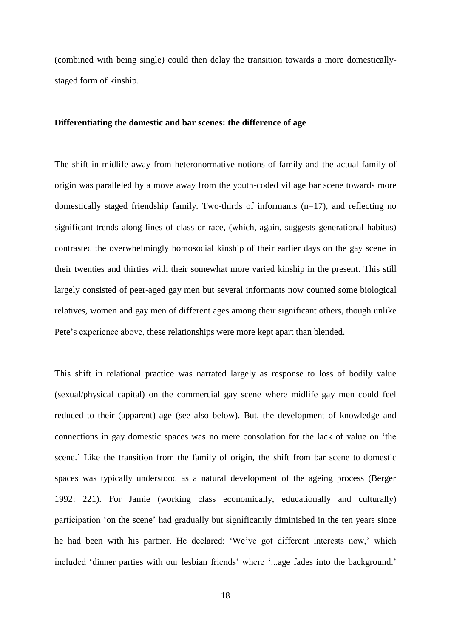(combined with being single) could then delay the transition towards a more domesticallystaged form of kinship.

#### **Differentiating the domestic and bar scenes: the difference of age**

The shift in midlife away from heteronormative notions of family and the actual family of origin was paralleled by a move away from the youth-coded village bar scene towards more domestically staged friendship family. Two-thirds of informants (n=17), and reflecting no significant trends along lines of class or race, (which, again, suggests generational habitus) contrasted the overwhelmingly homosocial kinship of their earlier days on the gay scene in their twenties and thirties with their somewhat more varied kinship in the present. This still largely consisted of peer-aged gay men but several informants now counted some biological relatives, women and gay men of different ages among their significant others, though unlike Pete's experience above, these relationships were more kept apart than blended.

This shift in relational practice was narrated largely as response to loss of bodily value (sexual/physical capital) on the commercial gay scene where midlife gay men could feel reduced to their (apparent) age (see also below). But, the development of knowledge and connections in gay domestic spaces was no mere consolation for the lack of value on 'the scene.' Like the transition from the family of origin, the shift from bar scene to domestic spaces was typically understood as a natural development of the ageing process (Berger 1992: 221). For Jamie (working class economically, educationally and culturally) participation 'on the scene' had gradually but significantly diminished in the ten years since he had been with his partner. He declared: 'We've got different interests now,' which included 'dinner parties with our lesbian friends' where '...age fades into the background.'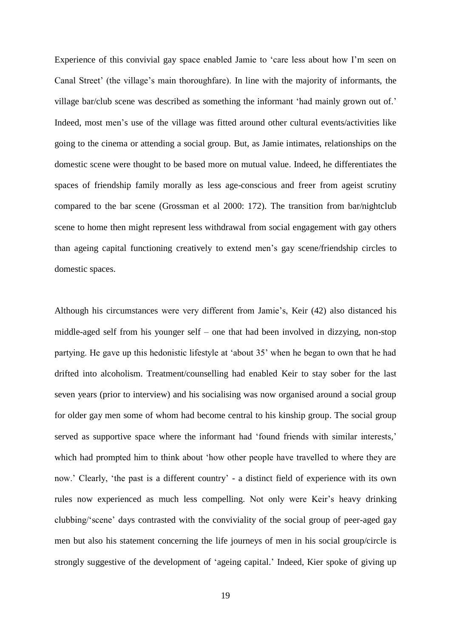Experience of this convivial gay space enabled Jamie to 'care less about how I'm seen on Canal Street' (the village's main thoroughfare). In line with the majority of informants, the village bar/club scene was described as something the informant 'had mainly grown out of.' Indeed, most men's use of the village was fitted around other cultural events/activities like going to the cinema or attending a social group. But, as Jamie intimates, relationships on the domestic scene were thought to be based more on mutual value. Indeed, he differentiates the spaces of friendship family morally as less age-conscious and freer from ageist scrutiny compared to the bar scene (Grossman et al 2000: 172). The transition from bar/nightclub scene to home then might represent less withdrawal from social engagement with gay others than ageing capital functioning creatively to extend men's gay scene/friendship circles to domestic spaces.

Although his circumstances were very different from Jamie's, Keir (42) also distanced his middle-aged self from his younger self – one that had been involved in dizzying, non-stop partying. He gave up this hedonistic lifestyle at 'about 35' when he began to own that he had drifted into alcoholism. Treatment/counselling had enabled Keir to stay sober for the last seven years (prior to interview) and his socialising was now organised around a social group for older gay men some of whom had become central to his kinship group. The social group served as supportive space where the informant had 'found friends with similar interests,' which had prompted him to think about 'how other people have travelled to where they are now.' Clearly, 'the past is a different country' - a distinct field of experience with its own rules now experienced as much less compelling. Not only were Keir's heavy drinking clubbing/'scene' days contrasted with the conviviality of the social group of peer-aged gay men but also his statement concerning the life journeys of men in his social group/circle is strongly suggestive of the development of 'ageing capital.' Indeed, Kier spoke of giving up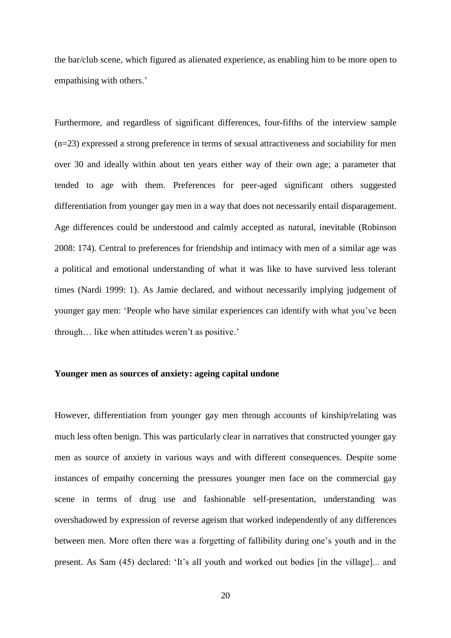the bar/club scene, which figured as alienated experience, as enabling him to be more open to empathising with others.'

Furthermore, and regardless of significant differences, four-fifths of the interview sample (n=23) expressed a strong preference in terms of sexual attractiveness and sociability for men over 30 and ideally within about ten years either way of their own age; a parameter that tended to age with them. Preferences for peer-aged significant others suggested differentiation from younger gay men in a way that does not necessarily entail disparagement. Age differences could be understood and calmly accepted as natural, inevitable (Robinson 2008: 174). Central to preferences for friendship and intimacy with men of a similar age was a political and emotional understanding of what it was like to have survived less tolerant times (Nardi 1999: 1). As Jamie declared, and without necessarily implying judgement of younger gay men: 'People who have similar experiences can identify with what you've been through… like when attitudes weren't as positive.'

## **Younger men as sources of anxiety: ageing capital undone**

However, differentiation from younger gay men through accounts of kinship/relating was much less often benign. This was particularly clear in narratives that constructed younger gay men as source of anxiety in various ways and with different consequences. Despite some instances of empathy concerning the pressures younger men face on the commercial gay scene in terms of drug use and fashionable self-presentation, understanding was overshadowed by expression of reverse ageism that worked independently of any differences between men. More often there was a forgetting of fallibility during one's youth and in the present. As Sam (45) declared: 'It's all youth and worked out bodies [in the village]... and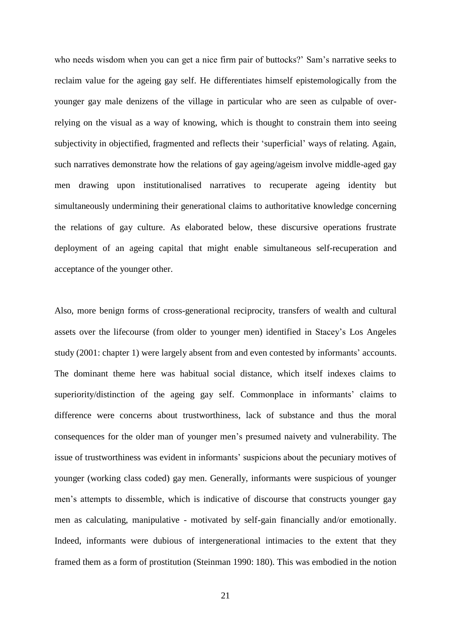who needs wisdom when you can get a nice firm pair of buttocks?' Sam's narrative seeks to reclaim value for the ageing gay self. He differentiates himself epistemologically from the younger gay male denizens of the village in particular who are seen as culpable of overrelying on the visual as a way of knowing, which is thought to constrain them into seeing subjectivity in objectified, fragmented and reflects their 'superficial' ways of relating. Again, such narratives demonstrate how the relations of gay ageing/ageism involve middle-aged gay men drawing upon institutionalised narratives to recuperate ageing identity but simultaneously undermining their generational claims to authoritative knowledge concerning the relations of gay culture. As elaborated below, these discursive operations frustrate deployment of an ageing capital that might enable simultaneous self-recuperation and acceptance of the younger other.

Also, more benign forms of cross-generational reciprocity, transfers of wealth and cultural assets over the lifecourse (from older to younger men) identified in Stacey's Los Angeles study (2001: chapter 1) were largely absent from and even contested by informants' accounts. The dominant theme here was habitual social distance, which itself indexes claims to superiority/distinction of the ageing gay self. Commonplace in informants' claims to difference were concerns about trustworthiness, lack of substance and thus the moral consequences for the older man of younger men's presumed naivety and vulnerability. The issue of trustworthiness was evident in informants' suspicions about the pecuniary motives of younger (working class coded) gay men. Generally, informants were suspicious of younger men's attempts to dissemble, which is indicative of discourse that constructs younger gay men as calculating, manipulative - motivated by self-gain financially and/or emotionally. Indeed, informants were dubious of intergenerational intimacies to the extent that they framed them as a form of prostitution (Steinman 1990: 180). This was embodied in the notion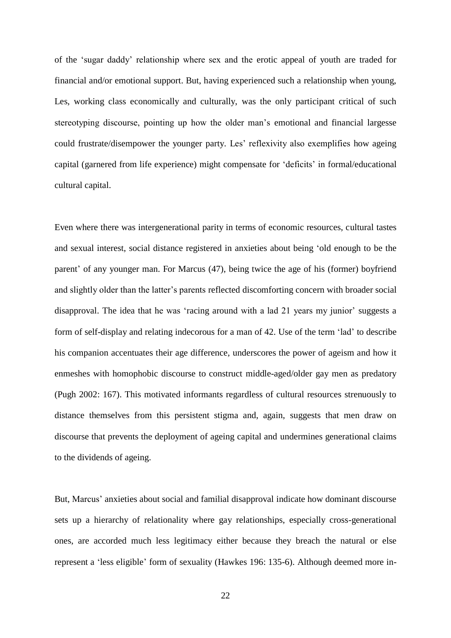of the 'sugar daddy' relationship where sex and the erotic appeal of youth are traded for financial and/or emotional support. But, having experienced such a relationship when young, Les, working class economically and culturally, was the only participant critical of such stereotyping discourse, pointing up how the older man's emotional and financial largesse could frustrate/disempower the younger party. Les' reflexivity also exemplifies how ageing capital (garnered from life experience) might compensate for 'deficits' in formal/educational cultural capital.

Even where there was intergenerational parity in terms of economic resources, cultural tastes and sexual interest, social distance registered in anxieties about being 'old enough to be the parent' of any younger man. For Marcus (47), being twice the age of his (former) boyfriend and slightly older than the latter's parents reflected discomforting concern with broader social disapproval. The idea that he was 'racing around with a lad 21 years my junior' suggests a form of self-display and relating indecorous for a man of 42. Use of the term 'lad' to describe his companion accentuates their age difference, underscores the power of ageism and how it enmeshes with homophobic discourse to construct middle-aged/older gay men as predatory (Pugh 2002: 167). This motivated informants regardless of cultural resources strenuously to distance themselves from this persistent stigma and, again, suggests that men draw on discourse that prevents the deployment of ageing capital and undermines generational claims to the dividends of ageing.

But, Marcus' anxieties about social and familial disapproval indicate how dominant discourse sets up a hierarchy of relationality where gay relationships, especially cross-generational ones, are accorded much less legitimacy either because they breach the natural or else represent a 'less eligible' form of sexuality (Hawkes 196: 135-6). Although deemed more in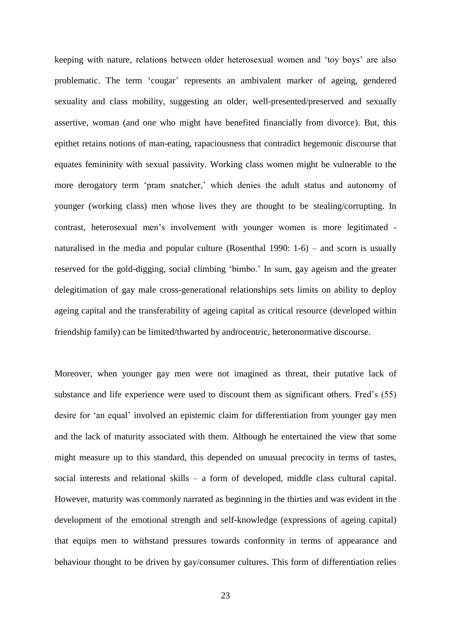keeping with nature, relations between older heterosexual women and 'toy boys' are also problematic. The term 'cougar' represents an ambivalent marker of ageing, gendered sexuality and class mobility, suggesting an older, well-presented/preserved and sexually assertive, woman (and one who might have benefited financially from divorce). But, this epithet retains notions of man-eating, rapaciousness that contradict hegemonic discourse that equates femininity with sexual passivity. Working class women might be vulnerable to the more derogatory term 'pram snatcher,' which denies the adult status and autonomy of younger (working class) men whose lives they are thought to be stealing/corrupting. In contrast, heterosexual men's involvement with younger women is more legitimated naturalised in the media and popular culture (Rosenthal 1990: 1-6) – and scorn is usually reserved for the gold-digging, social climbing 'bimbo.' In sum, gay ageism and the greater delegitimation of gay male cross-generational relationships sets limits on ability to deploy ageing capital and the transferability of ageing capital as critical resource (developed within friendship family) can be limited/thwarted by androcentric, heteronormative discourse.

Moreover, when younger gay men were not imagined as threat, their putative lack of substance and life experience were used to discount them as significant others. Fred's (55) desire for 'an equal' involved an epistemic claim for differentiation from younger gay men and the lack of maturity associated with them. Although he entertained the view that some might measure up to this standard, this depended on unusual precocity in terms of tastes, social interests and relational skills – a form of developed, middle class cultural capital. However, maturity was commonly narrated as beginning in the thirties and was evident in the development of the emotional strength and self-knowledge (expressions of ageing capital) that equips men to withstand pressures towards conformity in terms of appearance and behaviour thought to be driven by gay/consumer cultures. This form of differentiation relies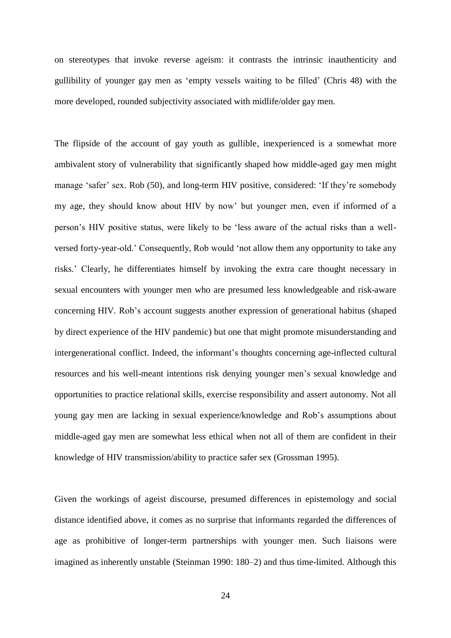on stereotypes that invoke reverse ageism: it contrasts the intrinsic inauthenticity and gullibility of younger gay men as 'empty vessels waiting to be filled' (Chris 48) with the more developed, rounded subjectivity associated with midlife/older gay men.

The flipside of the account of gay youth as gullible, inexperienced is a somewhat more ambivalent story of vulnerability that significantly shaped how middle-aged gay men might manage 'safer' sex. Rob (50), and long-term HIV positive, considered: 'If they're somebody my age, they should know about HIV by now' but younger men, even if informed of a person's HIV positive status, were likely to be 'less aware of the actual risks than a wellversed forty-year-old.' Consequently, Rob would 'not allow them any opportunity to take any risks.' Clearly, he differentiates himself by invoking the extra care thought necessary in sexual encounters with younger men who are presumed less knowledgeable and risk-aware concerning HIV. Rob's account suggests another expression of generational habitus (shaped by direct experience of the HIV pandemic) but one that might promote misunderstanding and intergenerational conflict. Indeed, the informant's thoughts concerning age-inflected cultural resources and his well-meant intentions risk denying younger men's sexual knowledge and opportunities to practice relational skills, exercise responsibility and assert autonomy. Not all young gay men are lacking in sexual experience/knowledge and Rob's assumptions about middle-aged gay men are somewhat less ethical when not all of them are confident in their knowledge of HIV transmission/ability to practice safer sex (Grossman 1995).

Given the workings of ageist discourse, presumed differences in epistemology and social distance identified above, it comes as no surprise that informants regarded the differences of age as prohibitive of longer-term partnerships with younger men. Such liaisons were imagined as inherently unstable (Steinman 1990: 180–2) and thus time-limited. Although this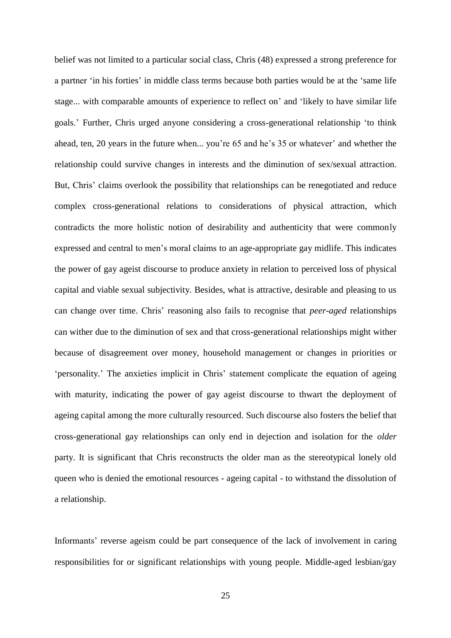belief was not limited to a particular social class, Chris (48) expressed a strong preference for a partner 'in his forties' in middle class terms because both parties would be at the 'same life stage... with comparable amounts of experience to reflect on' and 'likely to have similar life goals.' Further, Chris urged anyone considering a cross-generational relationship 'to think ahead, ten, 20 years in the future when... you're 65 and he's 35 or whatever' and whether the relationship could survive changes in interests and the diminution of sex/sexual attraction. But, Chris' claims overlook the possibility that relationships can be renegotiated and reduce complex cross-generational relations to considerations of physical attraction, which contradicts the more holistic notion of desirability and authenticity that were commonly expressed and central to men's moral claims to an age-appropriate gay midlife. This indicates the power of gay ageist discourse to produce anxiety in relation to perceived loss of physical capital and viable sexual subjectivity. Besides, what is attractive, desirable and pleasing to us can change over time. Chris' reasoning also fails to recognise that *peer-aged* relationships can wither due to the diminution of sex and that cross-generational relationships might wither because of disagreement over money, household management or changes in priorities or 'personality.' The anxieties implicit in Chris' statement complicate the equation of ageing with maturity, indicating the power of gay ageist discourse to thwart the deployment of ageing capital among the more culturally resourced. Such discourse also fosters the belief that cross-generational gay relationships can only end in dejection and isolation for the *older* party. It is significant that Chris reconstructs the older man as the stereotypical lonely old queen who is denied the emotional resources - ageing capital - to withstand the dissolution of a relationship.

Informants' reverse ageism could be part consequence of the lack of involvement in caring responsibilities for or significant relationships with young people. Middle-aged lesbian/gay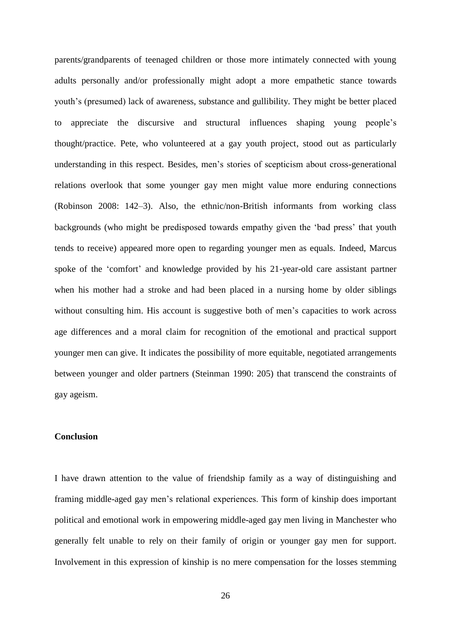parents/grandparents of teenaged children or those more intimately connected with young adults personally and/or professionally might adopt a more empathetic stance towards youth's (presumed) lack of awareness, substance and gullibility. They might be better placed to appreciate the discursive and structural influences shaping young people's thought/practice. Pete, who volunteered at a gay youth project, stood out as particularly understanding in this respect. Besides, men's stories of scepticism about cross-generational relations overlook that some younger gay men might value more enduring connections (Robinson 2008: 142–3). Also, the ethnic/non-British informants from working class backgrounds (who might be predisposed towards empathy given the 'bad press' that youth tends to receive) appeared more open to regarding younger men as equals. Indeed, Marcus spoke of the 'comfort' and knowledge provided by his 21-year-old care assistant partner when his mother had a stroke and had been placed in a nursing home by older siblings without consulting him. His account is suggestive both of men's capacities to work across age differences and a moral claim for recognition of the emotional and practical support younger men can give. It indicates the possibility of more equitable, negotiated arrangements between younger and older partners (Steinman 1990: 205) that transcend the constraints of gay ageism.

# **Conclusion**

I have drawn attention to the value of friendship family as a way of distinguishing and framing middle-aged gay men's relational experiences. This form of kinship does important political and emotional work in empowering middle-aged gay men living in Manchester who generally felt unable to rely on their family of origin or younger gay men for support. Involvement in this expression of kinship is no mere compensation for the losses stemming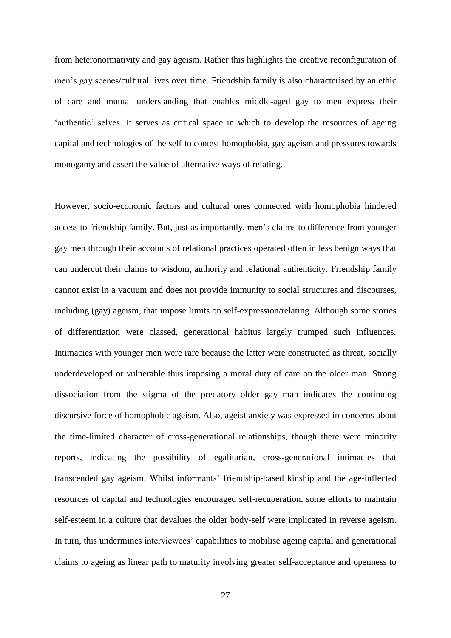from heteronormativity and gay ageism. Rather this highlights the creative reconfiguration of men's gay scenes/cultural lives over time. Friendship family is also characterised by an ethic of care and mutual understanding that enables middle-aged gay to men express their 'authentic' selves. It serves as critical space in which to develop the resources of ageing capital and technologies of the self to contest homophobia, gay ageism and pressures towards monogamy and assert the value of alternative ways of relating.

However, socio-economic factors and cultural ones connected with homophobia hindered access to friendship family. But, just as importantly, men's claims to difference from younger gay men through their accounts of relational practices operated often in less benign ways that can undercut their claims to wisdom, authority and relational authenticity. Friendship family cannot exist in a vacuum and does not provide immunity to social structures and discourses, including (gay) ageism, that impose limits on self-expression/relating. Although some stories of differentiation were classed, generational habitus largely trumped such influences. Intimacies with younger men were rare because the latter were constructed as threat, socially underdeveloped or vulnerable thus imposing a moral duty of care on the older man. Strong dissociation from the stigma of the predatory older gay man indicates the continuing discursive force of homophobic ageism. Also, ageist anxiety was expressed in concerns about the time-limited character of cross-generational relationships, though there were minority reports, indicating the possibility of egalitarian, cross-generational intimacies that transcended gay ageism. Whilst informants' friendship-based kinship and the age-inflected resources of capital and technologies encouraged self-recuperation, some efforts to maintain self-esteem in a culture that devalues the older body-self were implicated in reverse ageism. In turn, this undermines interviewees' capabilities to mobilise ageing capital and generational claims to ageing as linear path to maturity involving greater self-acceptance and openness to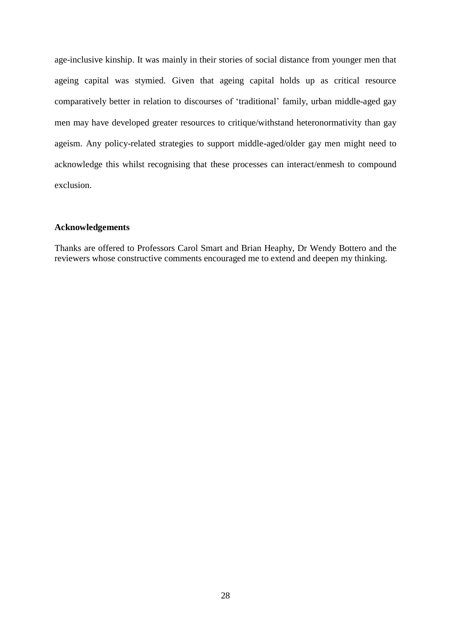age-inclusive kinship. It was mainly in their stories of social distance from younger men that ageing capital was stymied. Given that ageing capital holds up as critical resource comparatively better in relation to discourses of 'traditional' family, urban middle-aged gay men may have developed greater resources to critique/withstand heteronormativity than gay ageism. Any policy-related strategies to support middle-aged/older gay men might need to acknowledge this whilst recognising that these processes can interact/enmesh to compound exclusion.

### **Acknowledgements**

Thanks are offered to Professors Carol Smart and Brian Heaphy, Dr Wendy Bottero and the reviewers whose constructive comments encouraged me to extend and deepen my thinking.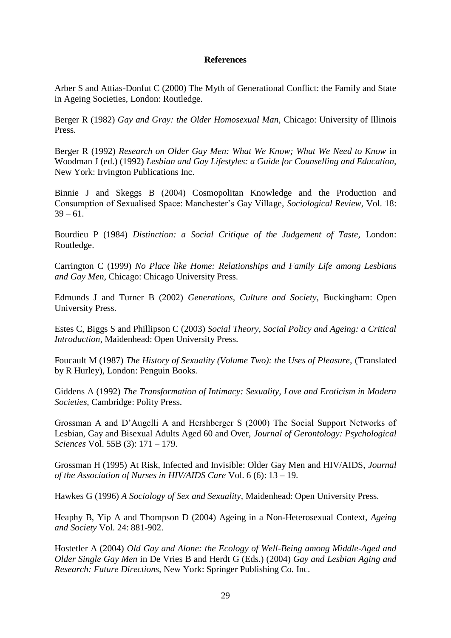# **References**

Arber S and Attias-Donfut C (2000) The Myth of Generational Conflict: the Family and State in Ageing Societies, London: Routledge.

Berger R (1982) *Gay and Gray: the Older Homosexual Man,* Chicago: University of Illinois Press.

Berger R (1992) *Research on Older Gay Men: What We Know; What We Need to Know* in Woodman J (ed.) (1992) *Lesbian and Gay Lifestyles: a Guide for Counselling and Education,*  New York: Irvington Publications Inc.

Binnie J and Skeggs B (2004) Cosmopolitan Knowledge and the Production and Consumption of Sexualised Space: Manchester's Gay Village, *Sociological Review*, Vol. 18:  $39 - 61$ .

Bourdieu P (1984) *Distinction: a Social Critique of the Judgement of Taste,* London: Routledge.

Carrington C (1999) *No Place like Home: Relationships and Family Life among Lesbians and Gay Men*, Chicago: Chicago University Press.

Edmunds J and Turner B (2002) *Generations, Culture and Society,* Buckingham: Open University Press.

Estes C, Biggs S and Phillipson C (2003) *Social Theory, Social Policy and Ageing: a Critical Introduction,* Maidenhead: Open University Press.

Foucault M (1987) *The History of Sexuality (Volume Two): the Uses of Pleasure, (Translated* by R Hurley), London: Penguin Books.

Giddens A (1992) *The Transformation of Intimacy: Sexuality, Love and Eroticism in Modern Societies,* Cambridge: Polity Press.

Grossman A and D'Augelli A and Hershberger S (2000) The Social Support Networks of Lesbian, Gay and Bisexual Adults Aged 60 and Over, *Journal of Gerontology: Psychological Sciences* Vol. 55B (3): 171 – 179.

Grossman H (1995) At Risk, Infected and Invisible: Older Gay Men and HIV/AIDS, *Journal of the Association of Nurses in HIV/AIDS Care* Vol. 6 (6): 13 – 19.

Hawkes G (1996) *A Sociology of Sex and Sexuality,* Maidenhead: Open University Press.

Heaphy B, Yip A and Thompson D (2004) Ageing in a Non-Heterosexual Context, *Ageing and Society* Vol. 24: 881-902.

Hostetler A (2004) *Old Gay and Alone: the Ecology of Well-Being among Middle-Aged and Older Single Gay Men* in De Vries B and Herdt G (Eds.) (2004) *Gay and Lesbian Aging and Research: Future Directions,* New York: Springer Publishing Co. Inc.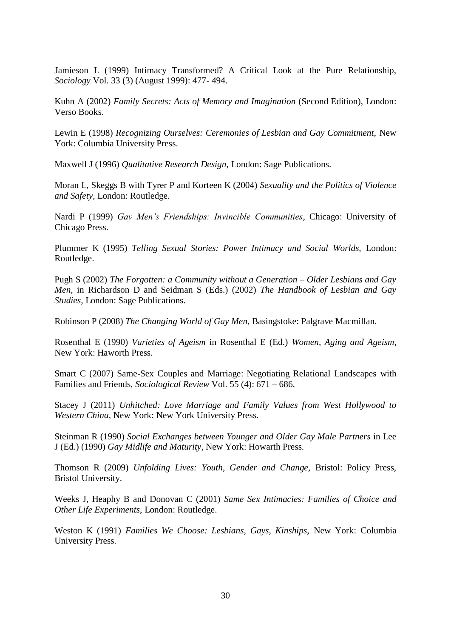Jamieson L (1999) Intimacy Transformed? A Critical Look at the Pure Relationship, *Sociology* Vol. 33 (3) (August 1999): 477- 494.

Kuhn A (2002) *Family Secrets: Acts of Memory and Imagination* (Second Edition), London: Verso Books.

Lewin E (1998) *Recognizing Ourselves: Ceremonies of Lesbian and Gay Commitment,* New York: Columbia University Press.

Maxwell J (1996) *Qualitative Research Design,* London: Sage Publications.

Moran L, Skeggs B with Tyrer P and Korteen K (2004) *Sexuality and the Politics of Violence and Safety,* London: Routledge.

Nardi P (1999) *Gay Men's Friendships: Invincible Communities*, Chicago: University of Chicago Press.

Plummer K (1995) *Telling Sexual Stories: Power Intimacy and Social Worlds,* London: Routledge.

Pugh S (2002) *The Forgotten: a Community without a Generation – Older Lesbians and Gay Men,* in Richardson D and Seidman S (Eds.) (2002) *The Handbook of Lesbian and Gay Studies,* London: Sage Publications.

Robinson P (2008) *The Changing World of Gay Men,* Basingstoke: Palgrave Macmillan.

Rosenthal E (1990) *Varieties of Ageism* in Rosenthal E (Ed.) *Women, Aging and Ageism*, New York: Haworth Press.

Smart C (2007) Same-Sex Couples and Marriage: Negotiating Relational Landscapes with Families and Friends, *Sociological Review* Vol. 55 (4): 671 – 686.

Stacey J (2011) *Unhitched: Love Marriage and Family Values from West Hollywood to Western China,* New York: New York University Press.

Steinman R (1990) *Social Exchanges between Younger and Older Gay Male Partners* in Lee J (Ed.) (1990) *Gay Midlife and Maturity*, New York: Howarth Press.

Thomson R (2009) *Unfolding Lives: Youth, Gender and Change,* Bristol: Policy Press, Bristol University.

Weeks J, Heaphy B and Donovan C (2001) *Same Sex Intimacies: Families of Choice and Other Life Experiments,* London: Routledge.

Weston K (1991) *Families We Choose: Lesbians, Gays, Kinships,* New York: Columbia University Press.